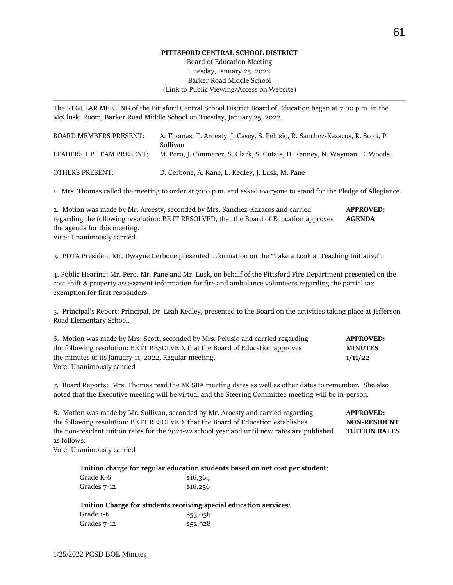### **PITTSFORD CENTRAL SCHOOL DISTRICT**

### Board of Education Meeting Tuesday, January 25, 2022 Barker Road Middle School (Link to Public Viewing/Access on Website)

The REGULAR MEETING of the Pittsford Central School District Board of Education began at 7:00 p.m. in the McCluski Room, Barker Road Middle School on Tuesday, January 25, 2022.

| <b>BOARD MEMBERS PRESENT:</b> | A. Thomas, T. Aroesty, J. Casey, S. Pelusio, R. Sanchez-Kazacos, R. Scott, P.<br>Sullivan |
|-------------------------------|-------------------------------------------------------------------------------------------|
| LEADERSHIP TEAM PRESENT:      | M. Pero, J. Cimmerer, S. Clark, S. Cutaia, D. Kenney, N. Wayman, E. Woods.                |
| OTHERS PRESENT:               | D. Cerbone, A. Kane, L. Kedley, J. Lusk, M. Pane                                          |

1. Mrs. Thomas called the meeting to order at 7:00 p.m. and asked everyone to stand for the Pledge of Allegiance.

| 2. Motion was made by Mr. Aroesty, seconded by Mrs. Sanchez-Kazacos and carried          | <b>APPROVED:</b> |
|------------------------------------------------------------------------------------------|------------------|
| regarding the following resolution: BE IT RESOLVED, that the Board of Education approves | <b>AGENDA</b>    |
| the agenda for this meeting.                                                             |                  |
| Vote: Unanimously carried                                                                |                  |

3. PDTA President Mr. Dwayne Cerbone presented information on the "Take a Look at Teaching Initiative".

4. Public Hearing: Mr. Pero, Mr. Pane and Mr. Lusk, on behalf of the Pittsford Fire Department presented on the cost shift & property assessment information for fire and ambulance volunteers regarding the partial tax exemption for first responders.

5. Principal's Report: Principal, Dr. Leah Kedley, presented to the Board on the activities taking place at Jefferson Road Elementary School.

| 6. Motion was made by Mrs. Scott, seconded by Mrs. Pelusio and carried regarding | <b>APPROVED:</b> |
|----------------------------------------------------------------------------------|------------------|
| the following resolution: BE IT RESOLVED, that the Board of Education approves   | <b>MINUTES</b>   |
| the minutes of its January 11, 2022, Regular meeting.                            | 1/11/22          |
| Vote: Unanimously carried                                                        |                  |

7. Board Reports: Mrs. Thomas read the MCSBA meeting dates as well as other dates to remember. She also noted that the Executive meeting will be virtual and the Steering Committee meeting will be in-person.

8. Motion was made by Mr. Sullivan, seconded by Mr. Aroesty and carried regarding **APPROVED:** the following resolution: BE IT RESOLVED, that the Board of Education establishes **NON-RESIDENT** the non-resident tuition rates for the 2021-22 school year and until new rates are published **TUITION RATES** as follows:

Vote: Unanimously carried

**Tuition charge for regular education students based on net cost per student**:

| Grade K-6   | \$16,364 |
|-------------|----------|
| Grades 7-12 | \$16,236 |

**Tuition Charge for students receiving special education services**:

| Grade 1-6   | \$53,056 |
|-------------|----------|
| Grades 7-12 | \$52,928 |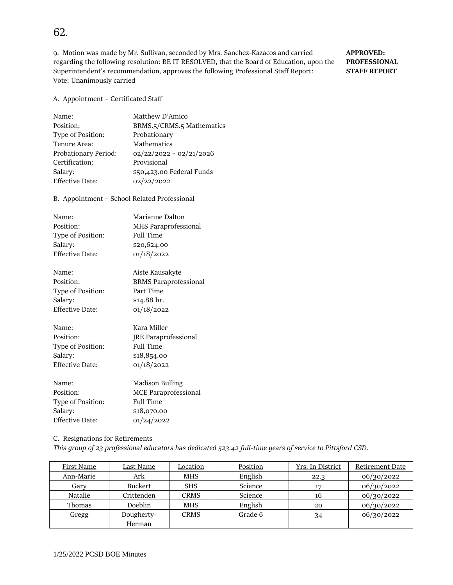9. Motion was made by Mr. Sullivan, seconded by Mrs. Sanchez-Kazacos and carried **APPROVED:** regarding the following resolution: BE IT RESOLVED, that the Board of Education, upon the **PROFESSIONAL**  Superintendent's recommendation, approves the following Professional Staff Report: **STAFF REPORT**  Vote: Unanimously carried

A. Appointment – Certificated Staff

| Name:                  | Matthew D'Amico           |
|------------------------|---------------------------|
| Position:              | BRMS.5/CRMS.5 Mathematics |
| Type of Position:      | Probationary              |
| Tenure Area:           | Mathematics               |
| Probationary Period:   | $02/22/2022 - 02/21/2026$ |
| Certification:         | Provisional               |
| Salary:                | \$50,423.00 Federal Funds |
| <b>Effective Date:</b> | 02/22/2022                |
|                        |                           |

B. Appointment – School Related Professional

| Name:             | Marianne Dalton      |
|-------------------|----------------------|
| Position:         | MHS Paraprofessional |
| Type of Position: | <b>Full Time</b>     |
| Salary:           | \$20,624.00          |
| Effective Date:   | 01/18/2022           |
|                   |                      |

| Name:             | Aiste Kausakyte              |
|-------------------|------------------------------|
| Position:         | <b>BRMS</b> Paraprofessional |
| Type of Position: | Part Time                    |
| Salary:           | \$14.88 hr.                  |
| Effective Date:   | 01/18/2022                   |
|                   |                              |

| Name:             | Kara Miller                 |
|-------------------|-----------------------------|
| Position:         | <b>JRE</b> Paraprofessional |
| Type of Position: | <b>Full Time</b>            |
| Salary:           | \$18,854.00                 |
| Effective Date:   | 01/18/2022                  |
|                   |                             |

| <b>Madison Bulling</b> |
|------------------------|
| MCE Paraprofessional   |
| <b>Full Time</b>       |
| \$18,070.00            |
| 01/24/2022             |
|                        |

### C. Resignations for Retirements

*This group of 23 professional educators has dedicated 523.42 full-time years of service to Pittsford CSD.* 

| First Name | Last Name      | Location    | Position | Yrs. In District | Retirement Date |
|------------|----------------|-------------|----------|------------------|-----------------|
| Ann-Marie  | Ark            | <b>MHS</b>  | English  | 22.3             | 06/30/2022      |
| Gary       | <b>Buckert</b> | <b>SHS</b>  | Science  | 17               | 06/30/2022      |
| Natalie    | Crittenden     | <b>CRMS</b> | Science  | 16               | 06/30/2022      |
| Thomas     | <b>Doeblin</b> | MHS         | English  | 20               | 06/30/2022      |
| Gregg      | Dougherty-     | <b>CRMS</b> | Grade 6  | 34               | 06/30/2022      |
|            | Herman         |             |          |                  |                 |

## 62.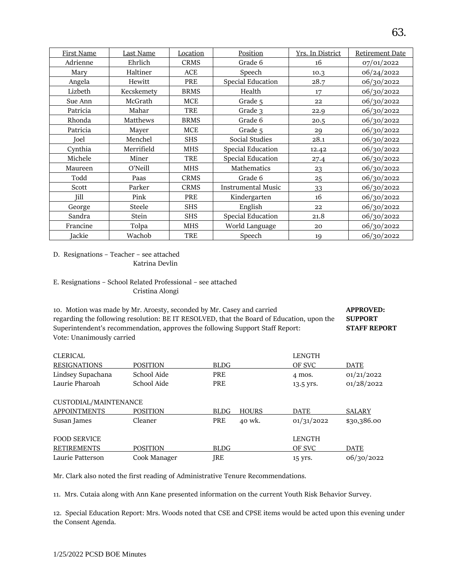| <b>First Name</b> | <b>Last Name</b> | Location    | Position                  | Yrs. In District | <b>Retirement Date</b> |
|-------------------|------------------|-------------|---------------------------|------------------|------------------------|
| Adrienne          | Ehrlich          | <b>CRMS</b> | Grade 6                   | 16               | 07/01/2022             |
| Mary              | Haltiner         | ACE         | Speech                    | 10.3             | 06/24/2022             |
| Angela            | Hewitt           | PRE         | Special Education         | 28.7             | 06/30/2022             |
| Lizbeth           | Kecskemety       | <b>BRMS</b> | Health                    | 17               | 06/30/2022             |
| Sue Ann           | McGrath          | MCE         | Grade 5                   | 22               | 06/30/2022             |
| Patricia          | Mahar            | <b>TRE</b>  | Grade 3                   | 22.9             | 06/30/2022             |
| Rhonda            | <b>Matthews</b>  | <b>BRMS</b> | Grade 6                   | 20.5             | 06/30/2022             |
| Patricia          | Mayer            | <b>MCE</b>  | Grade 5                   | 29               | 06/30/2022             |
| Joel              | Menchel          | <b>SHS</b>  | Social Studies            | 28.1             | 06/30/2022             |
| Cynthia           | Merrifield       | <b>MHS</b>  | Special Education         | 12.42            | 06/30/2022             |
| Michele           | Miner            | <b>TRE</b>  | Special Education         | 27.4             | 06/30/2022             |
| Maureen           | O'Neill          | <b>MHS</b>  | Mathematics               | 23               | 06/30/2022             |
| Todd              | Paas             | <b>CRMS</b> | Grade 6                   | 25               | 06/30/2022             |
| Scott             | Parker           | <b>CRMS</b> | <b>Instrumental Music</b> | 33               | 06/30/2022             |
| Jill              | Pink             | PRE         | Kindergarten              | 16               | 06/30/2022             |
| George            | Steele           | <b>SHS</b>  | English                   | 22               | 06/30/2022             |
| Sandra            | Stein            | <b>SHS</b>  | Special Education         | 21.8             | 06/30/2022             |
| Francine          | Tolpa            | <b>MHS</b>  | World Language            | 20               | 06/30/2022             |
| Jackie            | Wachob           | <b>TRE</b>  | Speech                    | 19               | 06/30/2022             |

## D. Resignations – Teacher – see attached Katrina Devlin

## E. Resignations – School Related Professional – see attached Cristina Alongi

10. Motion was made by Mr. Aroesty, seconded by Mr. Casey and carried **APPROVED:**  regarding the following resolution: BE IT RESOLVED, that the Board of Education, upon the **SUPPORT**  Superintendent's recommendation, approves the following Support Staff Report: **STAFF REPORT**  Vote: Unanimously carried

| <b>CLERICAL</b>       |                 |                             | <b>LENGTH</b> |               |
|-----------------------|-----------------|-----------------------------|---------------|---------------|
| <b>RESIGNATIONS</b>   | <b>POSITION</b> | <b>BLDG</b>                 | OF SVC        | DATE          |
| Lindsey Supachana     | School Aide     | PRE                         | 4 mos.        | 01/21/2022    |
| Laurie Pharoah        | School Aide     | PRE                         | 13.5 yrs.     | 01/28/2022    |
| CUSTODIAL/MAINTENANCE |                 |                             |               |               |
| <b>APPOINTMENTS</b>   | <b>POSITION</b> | <b>BLDG</b><br><b>HOURS</b> | <b>DATE</b>   | <b>SALARY</b> |
| Susan James           | Cleaner         | PRE<br>40 wk.               | 01/31/2022    | \$30,386.00   |
| <b>FOOD SERVICE</b>   |                 |                             | <b>LENGTH</b> |               |
| <b>RETIREMENTS</b>    | <b>POSITION</b> | <b>BLDG</b>                 | OF SVC        | <b>DATE</b>   |
| Laurie Patterson      | Cook Manager    | <b>IRE</b>                  | 15 yrs.       | 06/30/2022    |

Mr. Clark also noted the first reading of Administrative Tenure Recommendations.

11. Mrs. Cutaia along with Ann Kane presented information on the current Youth Risk Behavior Survey.

12. Special Education Report: Mrs. Woods noted that CSE and CPSE items would be acted upon this evening under the Consent Agenda.